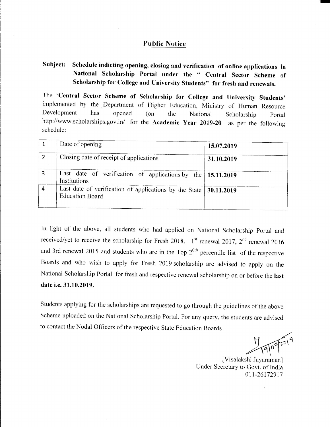#### **Public Notice**

#### Schedule indicting opening, closing and verification of online applications in Subject: National Scholarship Portal under the " Central Sector Scheme of Scholarship for College and University Students" for fresh and renewals.

The 'Central Sector Scheme of Scholarship for College and University Students' implemented by the Department of Higher Education, Ministry of Human Resource Development has opened  $($ on the National Scholarship Portal http://www.scholarships.gov.in/ for the Academic Year 2019-20 as per the following schedule:

|   | Date of opening                                                                                           | 15.07.2019 |
|---|-----------------------------------------------------------------------------------------------------------|------------|
|   | Closing date of receipt of applications                                                                   | 31.10.2019 |
|   | Last date of verification of applications by the   15.11.2019<br>Institutions                             |            |
| 4 | Last date of verification of applications by the State $\vert 30.11.2019 \vert$<br><b>Education Board</b> |            |

In light of the above, all students who had applied on National Scholarship Portal and received/yet to receive the scholarship for Fresh 2018,  $1^{st}$  renewal 2017,  $2^{nd}$  renewal 2016 and 3rd renewal 2015 and students who are in the Top  $2^{0<sup>th</sup>}$  percentile list of the respective Boards and who wish to apply for Fresh 2019 scholarship are advised to apply on the National Scholarship Portal for fresh and respective renewal scholarship on or before the last date i.e. 31.10.2019.

Students applying for the scholarships are requested to go through the guidelines of the above Scheme uploaded on the National Scholarship Portal. For any query, the students are advised to contact the Nodal Officers of the respective State Education Boards.

19072019

[Visalakshi Jayaraman] Under Secretary to Govt. of India 011-26172917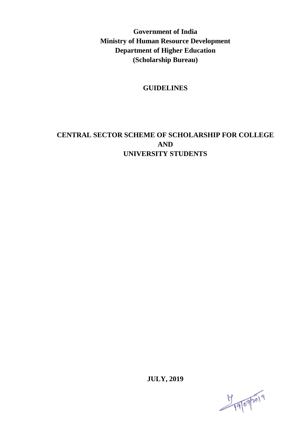**Government of India Ministry of Human Resource Development Department of Higher Education (Scholarship Bureau)**

#### **GUIDELINES**

# **CENTRAL SECTOR SCHEME OF SCHOLARSHIP FOR COLLEGE AND UNIVERSITY STUDENTS**

**JULY, 2019**

19/07/2019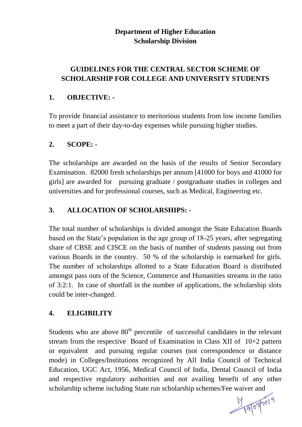# **Department of Higher Education Scholarship Division**

# **GUIDELINES FOR THE CENTRAL SECTOR SCHEME OF SCHOLARSHIP FOR COLLEGE AND UNIVERSITY STUDENTS**

# **1. OBJECTIVE: -**

To provide financial assistance to meritorious students from low income families to meet a part of their day-to-day expenses while pursuing higher studies.

# **2. SCOPE: -**

The scholarships are awarded on the basis of the results of Senior Secondary Examination. 82000 fresh scholarships per annum [41000 for boys and 41000 for girls] are awarded for pursuing graduate / postgraduate studies in colleges and universities and for professional courses, such as Medical, Engineering etc.

# **3. ALLOCATION OF SCHOLARSHIPS: -**

The total number of scholarships is divided amongst the State Education Boards based on the State"s population in the age group of 18-25 years, after segregating share of CBSE and CISCE on the basis of number of students passing out from various Boards in the country. 50 % of the scholarship is earmarked for girls. The number of scholarships allotted to a State Education Board is distributed amongst pass outs of the Science, Commerce and Humanities streams in the ratio of 3:2:1. In case of shortfall in the number of applications, the scholarship slots could be inter-changed.

### **4. ELIGIBILITY**

Students who are above  $80<sup>th</sup>$  percentile of successful candidates in the relevant stream from the respective Board of Examination in Class XII of 10+2 pattern or equivalent and pursuing regular courses (not correspondence or distance mode) in Colleges/Institutions recognized by All India Council of Technical Education, UGC Act, 1956, Medical Council of India, Dental Council of India and respective regulatory authorities and not availing benefit of any other scholarship scheme including State run scholarship schemes/Fee waiver and

19/07/2019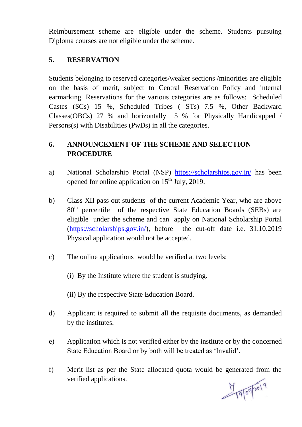Reimbursement scheme are eligible under the scheme. Students pursuing Diploma courses are not eligible under the scheme.

### **5. RESERVATION**

Students belonging to reserved categories/weaker sections /minorities are eligible on the basis of merit, subject to Central Reservation Policy and internal earmarking. Reservations for the various categories are as follows: Scheduled Castes (SCs) 15 %, Scheduled Tribes ( STs) 7.5 %, Other Backward Classes(OBCs) 27 % and horizontally 5 % for Physically Handicapped / Persons(s) with Disabilities (PwDs) in all the categories.

# **6. ANNOUNCEMENT OF THE SCHEME AND SELECTION PROCEDURE**

- a) National Scholarship Portal (NSP) <https://scholarships.gov.in/> has been opened for online application on  $15<sup>th</sup>$  July, 2019.
- b) Class XII pass out students of the current Academic Year, who are above 80<sup>th</sup> percentile of the respective State Education Boards (SEBs) are eligible under the scheme and can apply on National Scholarship Portal [\(https://scholarships.gov.in/\)](https://scholarships.gov.in/), before the cut-off date i.e. 31.10.2019 Physical application would not be accepted.
- c) The online applications would be verified at two levels:
	- (i) By the Institute where the student is studying.
	- (ii) By the respective State Education Board.
- d) Applicant is required to submit all the requisite documents, as demanded by the institutes.
- e) Application which is not verified either by the institute or by the concerned State Education Board or by both will be treated as "Invalid".
- f) Merit list as per the State allocated quota would be generated from the verified applications.

19072019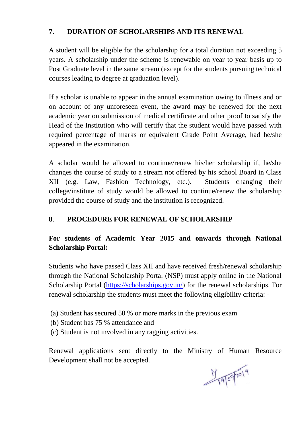# **7. DURATION OF SCHOLARSHIPS AND ITS RENEWAL**

A student will be eligible for the scholarship for a total duration not exceeding 5 years**.** A scholarship under the scheme is renewable on year to year basis up to Post Graduate level in the same stream (except for the students pursuing technical courses leading to degree at graduation level).

If a scholar is unable to appear in the annual examination owing to illness and or on account of any unforeseen event, the award may be renewed for the next academic year on submission of medical certificate and other proof to satisfy the Head of the Institution who will certify that the student would have passed with required percentage of marks or equivalent Grade Point Average, had he/she appeared in the examination.

A scholar would be allowed to continue/renew his/her scholarship if, he/she changes the course of study to a stream not offered by his school Board in Class XII (e.g. Law, Fashion Technology, etc.). Students changing their college/institute of study would be allowed to continue/renew the scholarship provided the course of study and the institution is recognized.

### **8**. **PROCEDURE FOR RENEWAL OF SCHOLARSHIP**

# **For students of Academic Year 2015 and onwards through National Scholarship Portal:**

Students who have passed Class XII and have received fresh/renewal scholarship through the National Scholarship Portal (NSP) must apply online in the National Scholarship Portal [\(https://scholarships.gov.in/\)](https://scholarships.gov.in/) for the renewal scholarships. For renewal scholarship the students must meet the following eligibility criteria: -

- (a) Student has secured 50 % or more marks in the previous exam
- (b) Student has 75 % attendance and
- (c) Student is not involved in any ragging activities.

Renewal applications sent directly to the Ministry of Human Resource Development shall not be accepted.

19/07/2019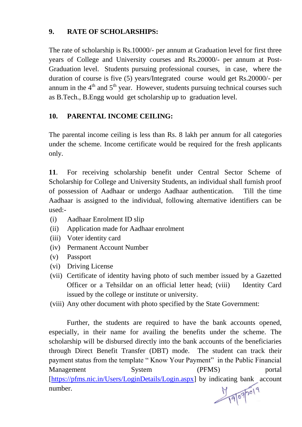### **9. RATE OF SCHOLARSHIPS:**

The rate of scholarship is Rs.10000/- per annum at Graduation level for first three years of College and University courses and Rs.20000/- per annum at Post-Graduation level. Students pursuing professional courses, in case, where the duration of course is five (5) years/Integrated course would get Rs.20000/- per annum in the  $4<sup>th</sup>$  and  $5<sup>th</sup>$  year. However, students pursuing technical courses such as B.Tech., B.Engg would get scholarship up to graduation level.

# **10. PARENTAL INCOME CEILING:**

The parental income ceiling is less than Rs. 8 lakh per annum for all categories under the scheme. Income certificate would be required for the fresh applicants only.

**11**. For receiving scholarship benefit under Central Sector Scheme of Scholarship for College and University Students, an individual shall furnish proof of possession of Aadhaar or undergo Aadhaar authentication. Till the time Aadhaar is assigned to the individual, following alternative identifiers can be used:-

- (i) Aadhaar Enrolment ID slip
- (ii) Application made for Aadhaar enrolment
- (iii) Voter identity card
- (iv) Permanent Account Number
- (v) Passport
- (vi) Driving License
- (vii) Certificate of identity having photo of such member issued by a Gazetted Officer or a Tehsildar on an official letter head; (viii) Identity Card issued by the college or institute or university.
- (viii) Any other document with photo specified by the State Government:

Further, the students are required to have the bank accounts opened, especially, in their name for availing the benefits under the scheme. The scholarship will be disbursed directly into the bank accounts of the beneficiaries through Direct Benefit Transfer (DBT) mode. The student can track their payment status from the template " Know Your Payment" in the Public Financial Management System (PFMS) portal [\[https://pfms.nic.in/Users/LoginDetails/Login.aspx\]](https://pfms.nic.in/Users/LoginDetails/Login.aspx) by indicating bank account number.

19/07/2019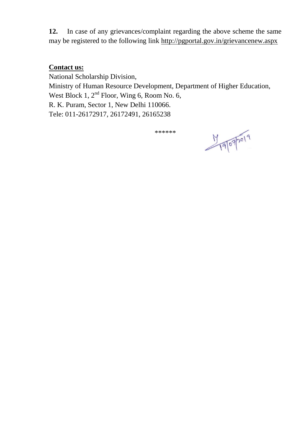**12.** In case of any grievances/complaint regarding the above scheme the same may be registered to the following link<http://pgportal.gov.in/grievancenew.aspx>

#### **Contact us:**

National Scholarship Division, Ministry of Human Resource Development, Department of Higher Education, West Block 1, 2<sup>nd</sup> Floor, Wing 6, Room No. 6, R. K. Puram, Sector 1, New Delhi 110066. Tele: 011-26172917, 26172491, 26165238

\*\*\*\*\*\*

19072019